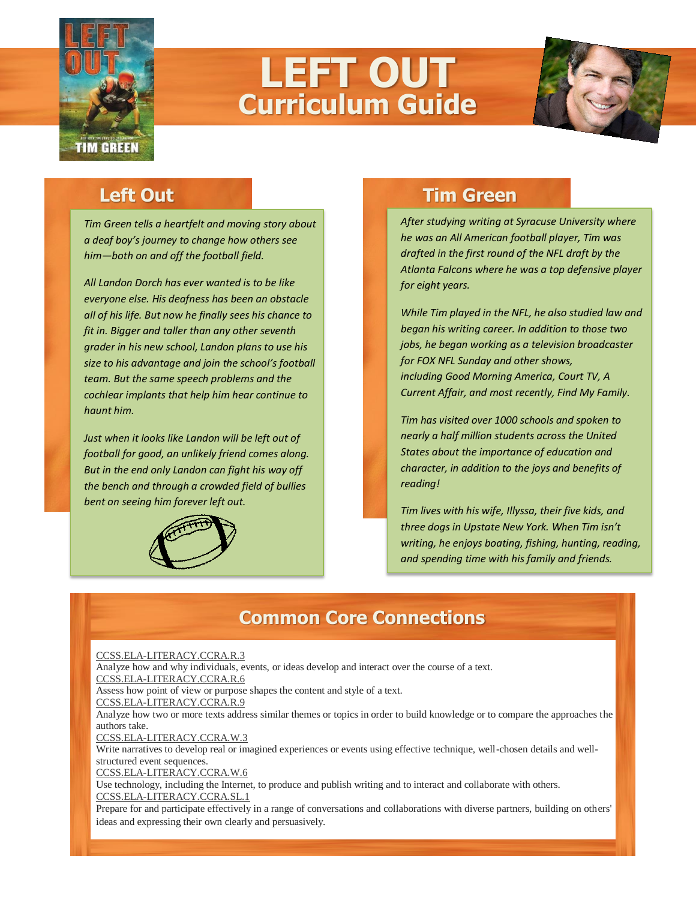

# **LEFT OUT Curriculum Guide**



*Tim Green tells a heartfelt and moving story about a deaf boy's journey to change how others see him—both on and off the football field.*

*All Landon Dorch has ever wanted is to be like everyone else. His deafness has been an obstacle all of his life. But now he finally sees his chance to fit in. Bigger and taller than any other seventh grader in his new school, Landon plans to use his size to his advantage and join the school's football team. But the same speech problems and the cochlear implants that help him hear continue to haunt him.* 

*Just when it looks like Landon will be left out of football for good, an unlikely friend comes along. But in the end only Landon can fight his way off the bench and through a crowded field of bullies bent on seeing him forever left out.*



# **Left Out Tim Green**

*After studying writing at Syracuse University where he was an All American football player, Tim was drafted in the first round of the NFL draft by the Atlanta Falcons where he was a top defensive player for eight years.*

*While Tim played in the NFL, he also studied law and began his writing career. In addition to those two jobs, he began working as a television broadcaster for FOX NFL Sunday and other shows, including Good Morning America, Court TV, A Current Affair, and most recently, Find My Family.*

*Tim has visited over 1000 schools and spoken to nearly a half million students across the United States about the importance of education and character, in addition to the joys and benefits of reading!*

*Tim lives with his wife, Illyssa, their five kids, and three dogs in Upstate New York. When Tim isn't writing, he enjoys boating, fishing, hunting, reading, and spending time with his family and friends.*

# **Common Core Connections**

#### [CCSS.ELA-LITERACY.CCRA.R.3](http://www.corestandards.org/ELA-Literacy/CCRA/R/3/)

Analyze how and why individuals, events, or ideas develop and interact over the course of a text.

[CCSS.ELA-LITERACY.CCRA.R.6](http://www.corestandards.org/ELA-Literacy/CCRA/R/6/)

Assess how point of view or purpose shapes the content and style of a text.

[CCSS.ELA-LITERACY.CCRA.R.9](http://www.corestandards.org/ELA-Literacy/CCRA/R/9/)

Analyze how two or more texts address similar themes or topics in order to build knowledge or to compare the approaches the authors take.

[CCSS.ELA-LITERACY.CCRA.W.3](http://www.corestandards.org/ELA-Literacy/CCRA/W/3/)

Write narratives to develop real or imagined experiences or events using effective technique, well-chosen details and wellstructured event sequences.

[CCSS.ELA-LITERACY.CCRA.W.6](http://www.corestandards.org/ELA-Literacy/CCRA/W/6/)

Use technology, including the Internet, to produce and publish writing and to interact and collaborate with others. [CCSS.ELA-LITERACY.CCRA.SL.1](http://www.corestandards.org/ELA-Literacy/CCRA/SL/1/)

Prepare for and participate effectively in a range of conversations and collaborations with diverse partners, building on others' ideas and expressing their own clearly and persuasively.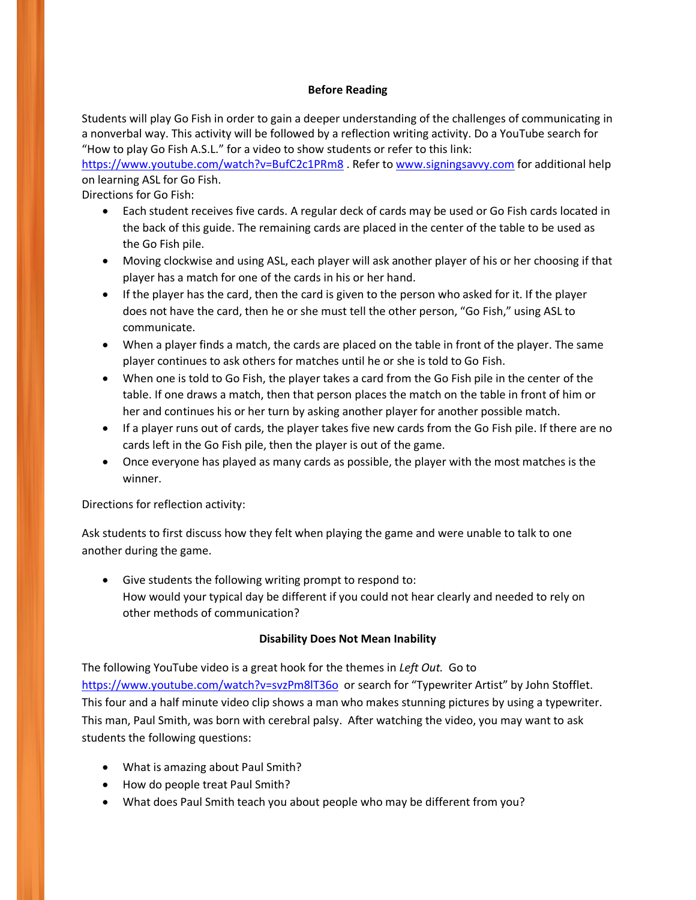### **Before Reading**

Students will play Go Fish in order to gain a deeper understanding of the challenges of communicating in a nonverbal way. This activity will be followed by a reflection writing activity. Do a YouTube search for "How to play Go Fish A.S.L." for a video to show students or refer to this link:

<https://www.youtube.com/watch?v=BufC2c1PRm8> . Refer to [www.signingsavvy.com](http://www.signingsavvy.com/) for additional help on learning ASL for Go Fish.

Directions for Go Fish:

- Each student receives five cards. A regular deck of cards may be used or Go Fish cards located in the back of this guide. The remaining cards are placed in the center of the table to be used as the Go Fish pile.
- Moving clockwise and using ASL, each player will ask another player of his or her choosing if that player has a match for one of the cards in his or her hand.
- If the player has the card, then the card is given to the person who asked for it. If the player does not have the card, then he or she must tell the other person, "Go Fish," using ASL to communicate.
- When a player finds a match, the cards are placed on the table in front of the player. The same player continues to ask others for matches until he or she is told to Go Fish.
- When one is told to Go Fish, the player takes a card from the Go Fish pile in the center of the table. If one draws a match, then that person places the match on the table in front of him or her and continues his or her turn by asking another player for another possible match.
- If a player runs out of cards, the player takes five new cards from the Go Fish pile. If there are no cards left in the Go Fish pile, then the player is out of the game.
- Once everyone has played as many cards as possible, the player with the most matches is the winner.

Directions for reflection activity:

Ask students to first discuss how they felt when playing the game and were unable to talk to one another during the game.

 Give students the following writing prompt to respond to: How would your typical day be different if you could not hear clearly and needed to rely on other methods of communication?

## **Disability Does Not Mean Inability**

The following YouTube video is a great hook for the themes in *Left Out.* Go to <https://www.youtube.com/watch?v=svzPm8lT36o>or search for "Typewriter Artist" by John Stofflet. This four and a half minute video clip shows a man who makes stunning pictures by using a typewriter. This man, Paul Smith, was born with cerebral palsy. After watching the video, you may want to ask students the following questions:

- What is amazing about Paul Smith?
- How do people treat Paul Smith?
- What does Paul Smith teach you about people who may be different from you?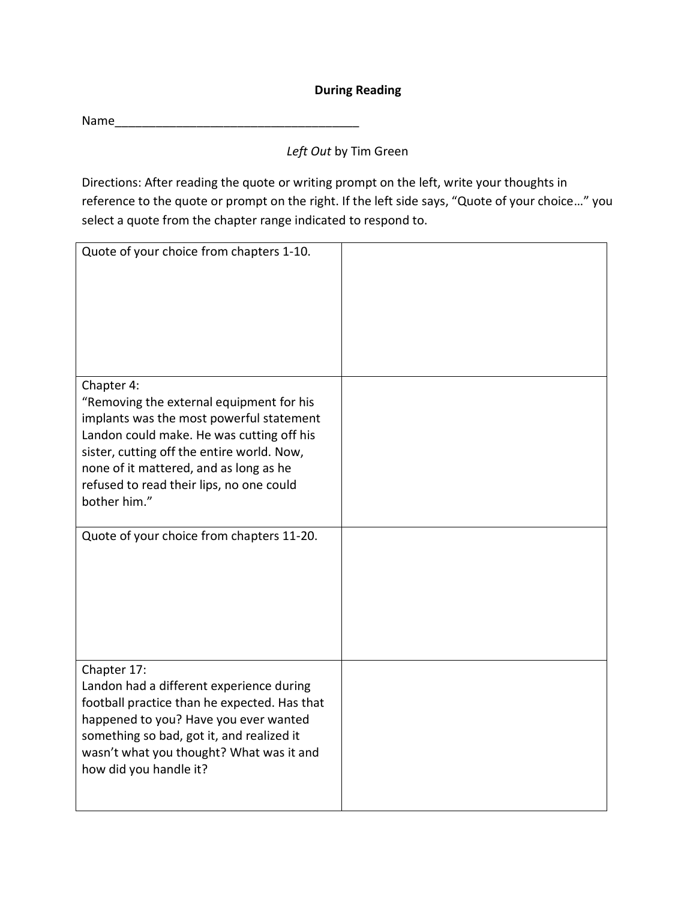# **During Reading**

Name\_\_\_\_\_\_\_\_\_\_\_\_\_\_\_\_\_\_\_\_\_\_\_\_\_\_\_\_\_\_\_\_\_\_\_\_

# *Left Out* by Tim Green

Directions: After reading the quote or writing prompt on the left, write your thoughts in reference to the quote or prompt on the right. If the left side says, "Quote of your choice…" you select a quote from the chapter range indicated to respond to.

| Quote of your choice from chapters 1-10.                                                                                                                                                                                                                                                            |  |
|-----------------------------------------------------------------------------------------------------------------------------------------------------------------------------------------------------------------------------------------------------------------------------------------------------|--|
| Chapter 4:<br>"Removing the external equipment for his<br>implants was the most powerful statement<br>Landon could make. He was cutting off his<br>sister, cutting off the entire world. Now,<br>none of it mattered, and as long as he<br>refused to read their lips, no one could<br>bother him." |  |
| Quote of your choice from chapters 11-20.                                                                                                                                                                                                                                                           |  |
| Chapter 17:<br>Landon had a different experience during<br>football practice than he expected. Has that<br>happened to you? Have you ever wanted<br>something so bad, got it, and realized it<br>wasn't what you thought? What was it and<br>how did you handle it?                                 |  |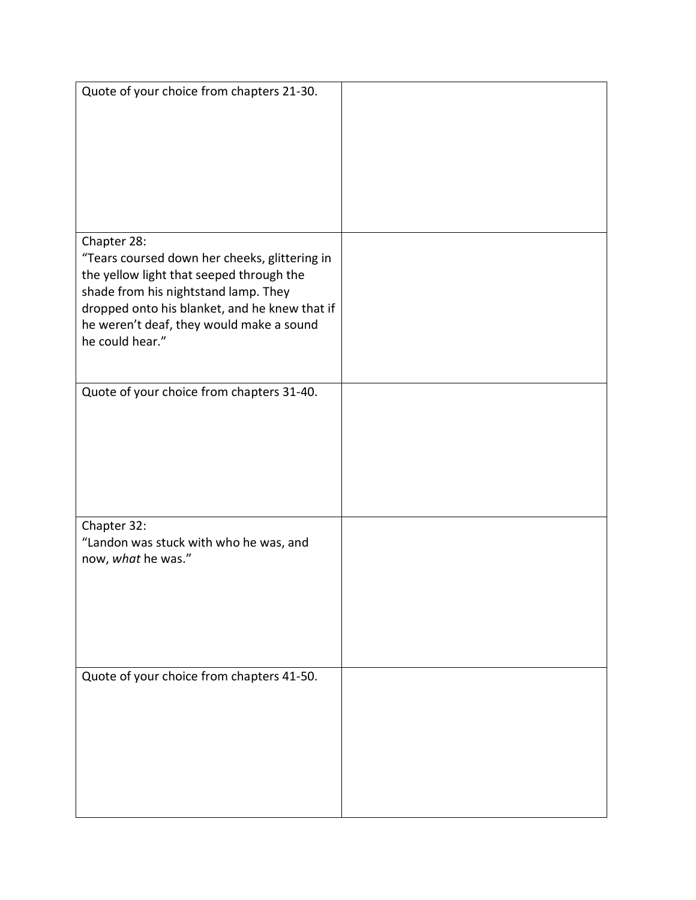| Quote of your choice from chapters 21-30.                                                                                                                                                                                                                        |  |
|------------------------------------------------------------------------------------------------------------------------------------------------------------------------------------------------------------------------------------------------------------------|--|
| Chapter 28:<br>"Tears coursed down her cheeks, glittering in<br>the yellow light that seeped through the<br>shade from his nightstand lamp. They<br>dropped onto his blanket, and he knew that if<br>he weren't deaf, they would make a sound<br>he could hear." |  |
| Quote of your choice from chapters 31-40.                                                                                                                                                                                                                        |  |
| Chapter 32:<br>"Landon was stuck with who he was, and<br>now, what he was."                                                                                                                                                                                      |  |
| Quote of your choice from chapters 41-50.                                                                                                                                                                                                                        |  |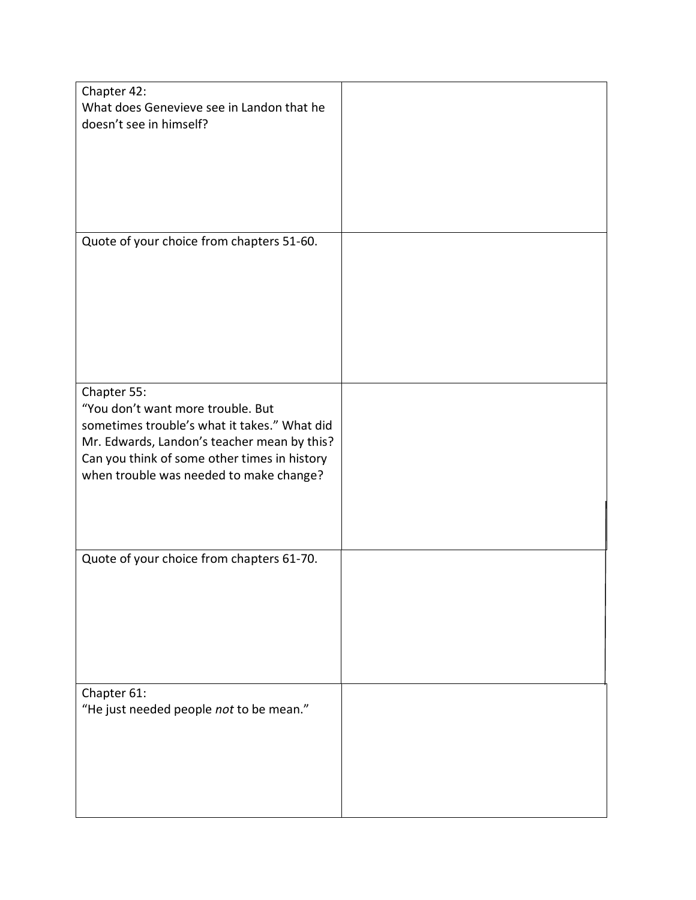| Chapter 42:                                  |  |
|----------------------------------------------|--|
|                                              |  |
| What does Genevieve see in Landon that he    |  |
| doesn't see in himself?                      |  |
|                                              |  |
|                                              |  |
|                                              |  |
|                                              |  |
|                                              |  |
|                                              |  |
|                                              |  |
| Quote of your choice from chapters 51-60.    |  |
|                                              |  |
|                                              |  |
|                                              |  |
|                                              |  |
|                                              |  |
|                                              |  |
|                                              |  |
|                                              |  |
|                                              |  |
|                                              |  |
| Chapter 55:                                  |  |
| "You don't want more trouble. But            |  |
| sometimes trouble's what it takes." What did |  |
| Mr. Edwards, Landon's teacher mean by this?  |  |
|                                              |  |
| Can you think of some other times in history |  |
| when trouble was needed to make change?      |  |
|                                              |  |
|                                              |  |
|                                              |  |
|                                              |  |
|                                              |  |
| Quote of your choice from chapters 61-70.    |  |
|                                              |  |
|                                              |  |
|                                              |  |
|                                              |  |
|                                              |  |
|                                              |  |
|                                              |  |
|                                              |  |
| Chapter 61:                                  |  |
| "He just needed people not to be mean."      |  |
|                                              |  |
|                                              |  |
|                                              |  |
|                                              |  |
|                                              |  |
|                                              |  |
|                                              |  |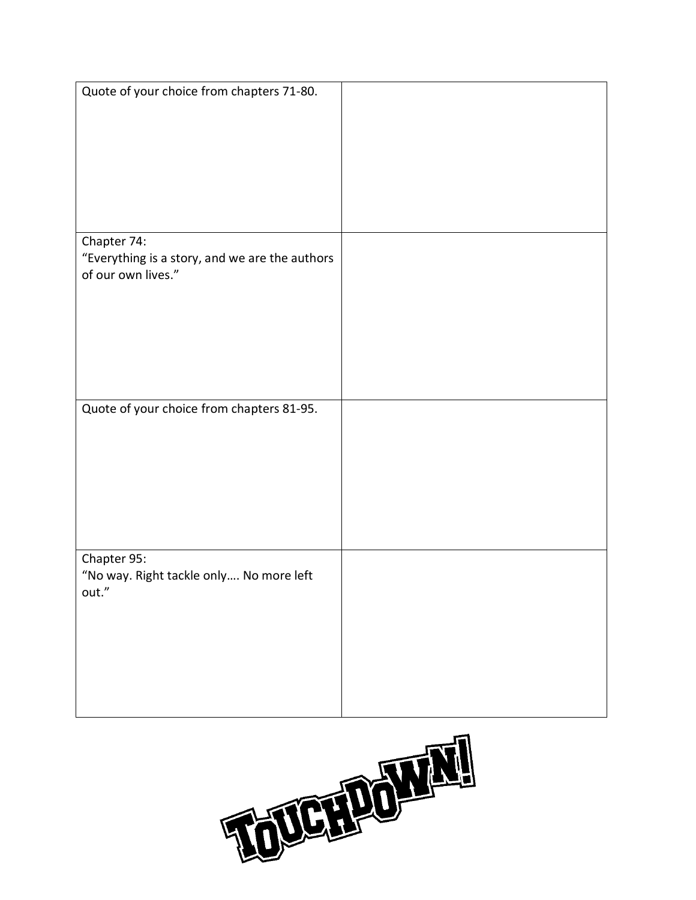| Quote of your choice from chapters 71-80.                                           |  |
|-------------------------------------------------------------------------------------|--|
|                                                                                     |  |
| Chapter 74:<br>"Everything is a story, and we are the authors<br>of our own lives." |  |
|                                                                                     |  |
| Quote of your choice from chapters 81-95.                                           |  |
|                                                                                     |  |
| Chapter 95:<br>"No way. Right tackle only No more left<br>out."                     |  |

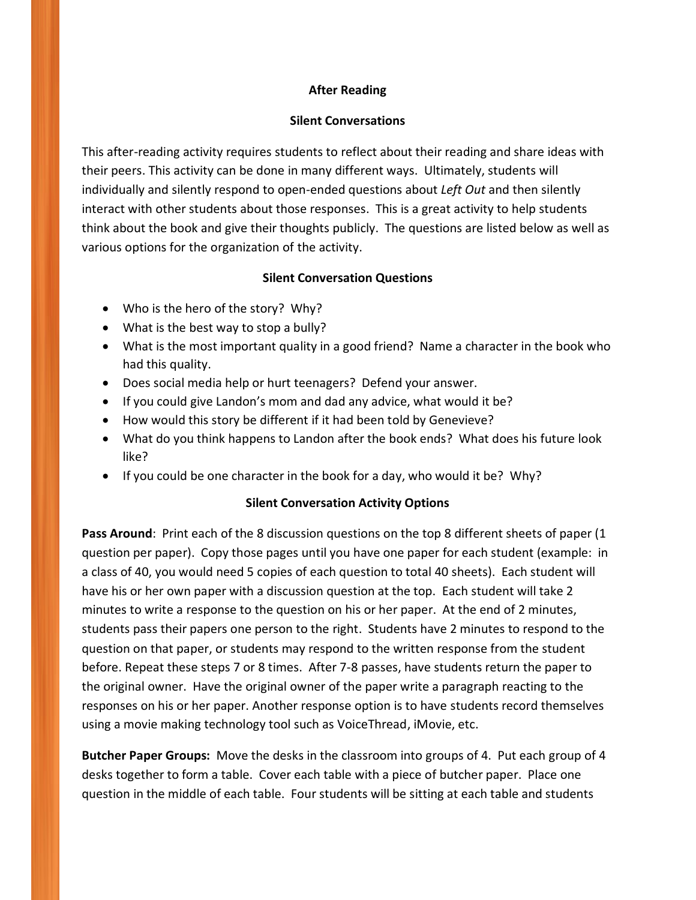# **After Reading**

# **Silent Conversations**

This after-reading activity requires students to reflect about their reading and share ideas with their peers. This activity can be done in many different ways. Ultimately, students will individually and silently respond to open-ended questions about *Left Out* and then silently interact with other students about those responses. This is a great activity to help students think about the book and give their thoughts publicly. The questions are listed below as well as various options for the organization of the activity.

# **Silent Conversation Questions**

- Who is the hero of the story? Why?
- What is the best way to stop a bully?
- What is the most important quality in a good friend? Name a character in the book who had this quality.
- Does social media help or hurt teenagers? Defend your answer.
- If you could give Landon's mom and dad any advice, what would it be?
- How would this story be different if it had been told by Genevieve?
- What do you think happens to Landon after the book ends? What does his future look like?
- If you could be one character in the book for a day, who would it be? Why?

# **Silent Conversation Activity Options**

**Pass Around**: Print each of the 8 discussion questions on the top 8 different sheets of paper (1 question per paper). Copy those pages until you have one paper for each student (example: in a class of 40, you would need 5 copies of each question to total 40 sheets). Each student will have his or her own paper with a discussion question at the top. Each student will take 2 minutes to write a response to the question on his or her paper. At the end of 2 minutes, students pass their papers one person to the right. Students have 2 minutes to respond to the question on that paper, or students may respond to the written response from the student before. Repeat these steps 7 or 8 times. After 7-8 passes, have students return the paper to the original owner. Have the original owner of the paper write a paragraph reacting to the responses on his or her paper. Another response option is to have students record themselves using a movie making technology tool such as VoiceThread, iMovie, etc.

**Butcher Paper Groups:** Move the desks in the classroom into groups of 4. Put each group of 4 desks together to form a table. Cover each table with a piece of butcher paper. Place one question in the middle of each table. Four students will be sitting at each table and students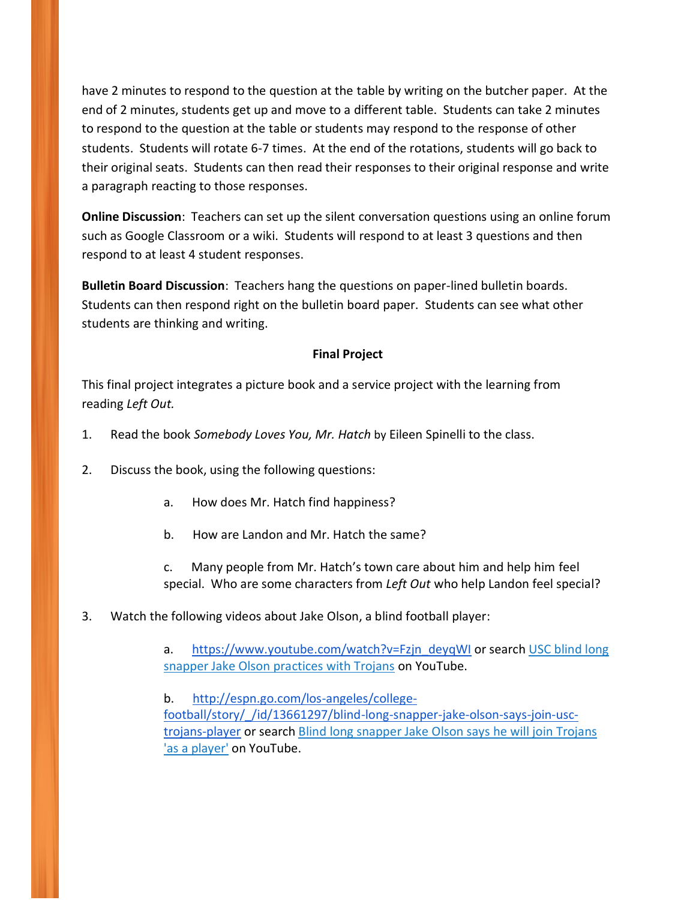have 2 minutes to respond to the question at the table by writing on the butcher paper. At the end of 2 minutes, students get up and move to a different table. Students can take 2 minutes to respond to the question at the table or students may respond to the response of other students. Students will rotate 6-7 times. At the end of the rotations, students will go back to their original seats. Students can then read their responses to their original response and write a paragraph reacting to those responses.

**Online Discussion**: Teachers can set up the silent conversation questions using an online forum such as Google Classroom or a wiki. Students will respond to at least 3 questions and then respond to at least 4 student responses.

**Bulletin Board Discussion**: Teachers hang the questions on paper-lined bulletin boards. Students can then respond right on the bulletin board paper. Students can see what other students are thinking and writing.

# **Final Project**

This final project integrates a picture book and a service project with the learning from reading *Left Out.*

- 1. Read the book *Somebody Loves You, Mr. Hatch* by Eileen Spinelli to the class.
- 2. Discuss the book, using the following questions:
	- a. How does Mr. Hatch find happiness?
	- b. How are Landon and Mr. Hatch the same?

c. Many people from Mr. Hatch's town care about him and help him feel special. Who are some characters from *Left Out* who help Landon feel special?

3. Watch the following videos about Jake Olson, a blind football player:

a. [https://www.youtube.com/watch?v=Fzjn\\_deyqWI](https://www.youtube.com/watch?v=Fzjn_deyqWI) or search USC [blind](https://www.youtube.com/watch?v=M7Ux93qyHjc) long snapper Jake Olson [practices](https://www.youtube.com/watch?v=M7Ux93qyHjc) with Trojans on YouTube.

b. [http://espn.go.com/los-angeles/college](http://espn.go.com/los-angeles/college-football/story/_/id/13661297/blind-long-snapper-jake-olson-says-join-usc-trojans-player)[football/story/\\_/id/13661297/blind-long-snapper-jake-olson-says-join-usc](http://espn.go.com/los-angeles/college-football/story/_/id/13661297/blind-long-snapper-jake-olson-says-join-usc-trojans-player)[trojans-player](http://espn.go.com/los-angeles/college-football/story/_/id/13661297/blind-long-snapper-jake-olson-says-join-usc-trojans-player) or search Blind long [snapper](https://www.youtube.com/watch?v=Fzjn_deyqWI) Jake Olson says he will join Trojans 'as a [player'](https://www.youtube.com/watch?v=Fzjn_deyqWI) on YouTube.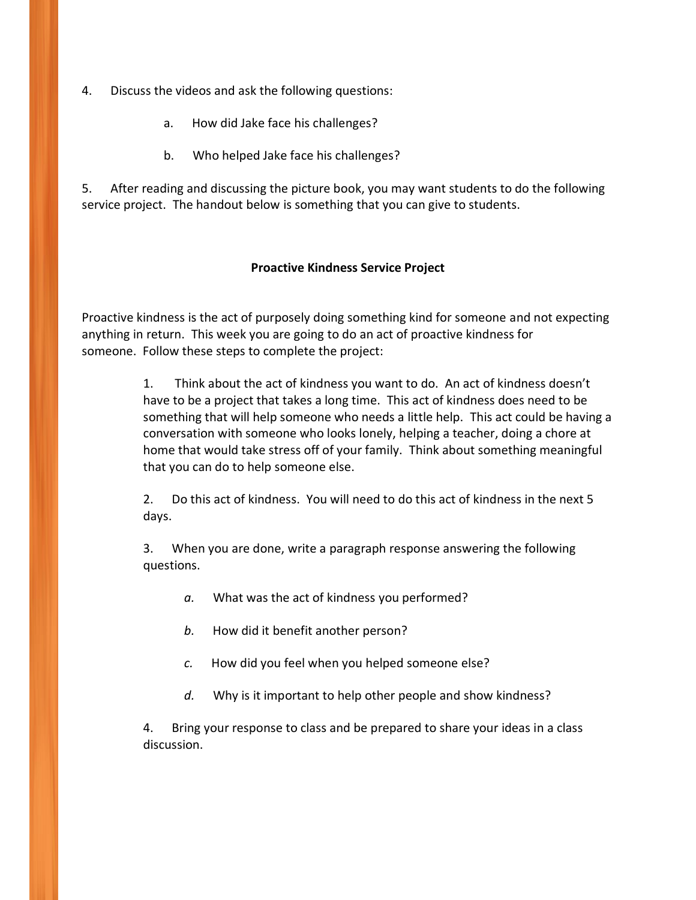- 4. Discuss the videos and ask the following questions:
	- a. How did Jake face his challenges?
	- b. Who helped Jake face his challenges?

5. After reading and discussing the picture book, you may want students to do the following service project. The handout below is something that you can give to students.

# **Proactive Kindness Service Project**

Proactive kindness is the act of purposely doing something kind for someone and not expecting anything in return. This week you are going to do an act of proactive kindness for someone. Follow these steps to complete the project:

> 1. Think about the act of kindness you want to do. An act of kindness doesn't have to be a project that takes a long time. This act of kindness does need to be something that will help someone who needs a little help. This act could be having a conversation with someone who looks lonely, helping a teacher, doing a chore at home that would take stress off of your family. Think about something meaningful that you can do to help someone else.

2. Do this act of kindness. You will need to do this act of kindness in the next 5 days.

3. When you are done, write a paragraph response answering the following questions.

- *a.* What was the act of kindness you performed?
- *b.* How did it benefit another person?
- *c.* How did you feel when you helped someone else?
- *d.* Why is it important to help other people and show kindness?

4. Bring your response to class and be prepared to share your ideas in a class discussion.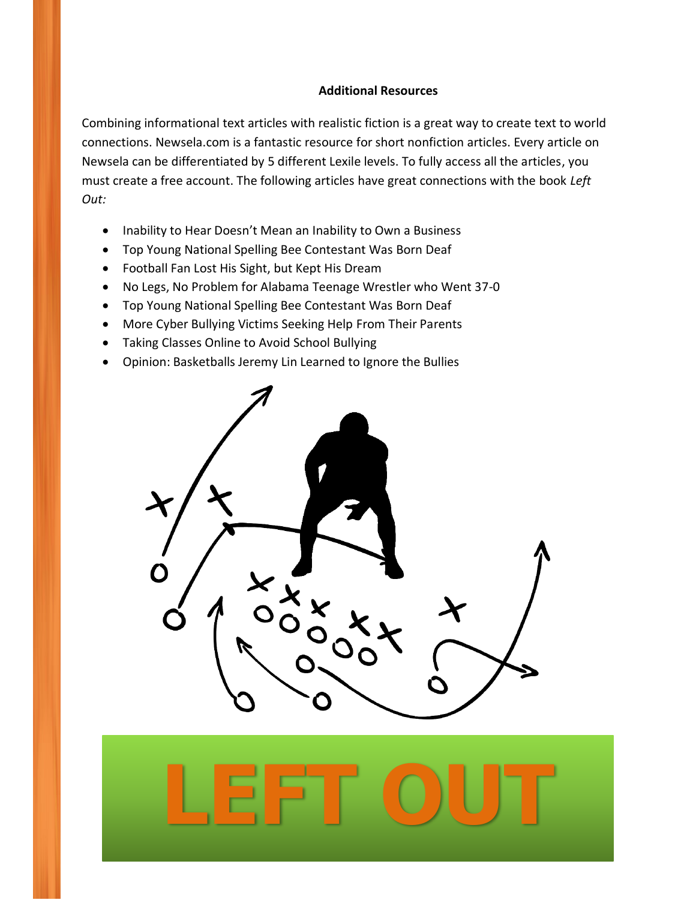# **Additional Resources**

Combining informational text articles with realistic fiction is a great way to create text to world connections. Newsela.com is a fantastic resource for short nonfiction articles. Every article on Newsela can be differentiated by 5 different Lexile levels. To fully access all the articles, you must create a free account. The following articles have great connections with the book *Left Out:*

- Inability to Hear Doesn't Mean an Inability to Own a Business
- Top Young National Spelling Bee Contestant Was Born Deaf
- Football Fan Lost His Sight, but Kept His Dream
- No Legs, No Problem for Alabama Teenage Wrestler who Went 37-0
- Top Young National Spelling Bee Contestant Was Born Deaf
- More Cyber Bullying Victims Seeking Help From Their Parents
- Taking Classes Online to Avoid School Bullying
- Opinion: Basketballs Jeremy Lin Learned to Ignore the Bullies



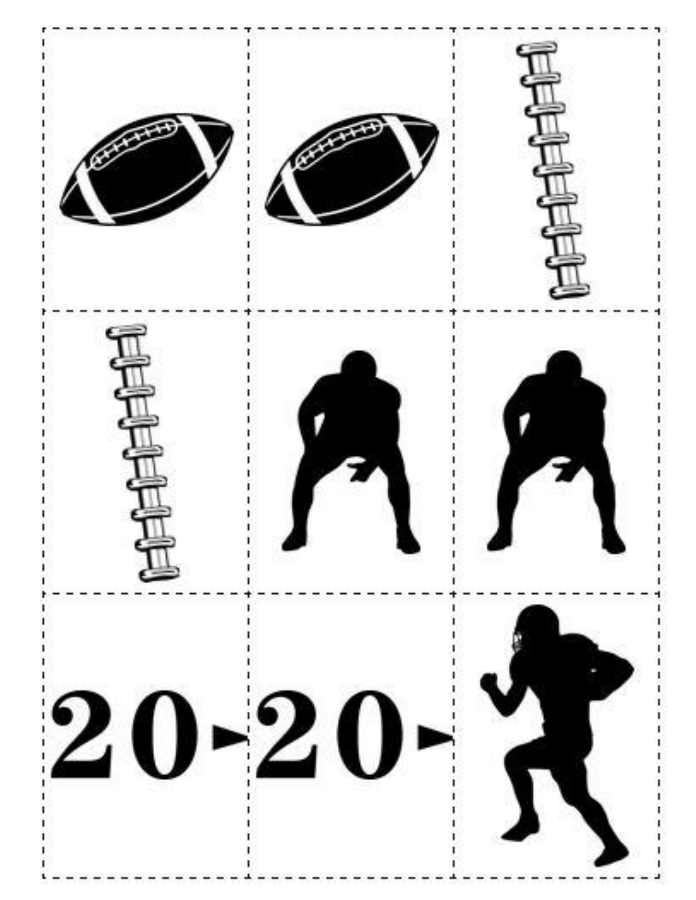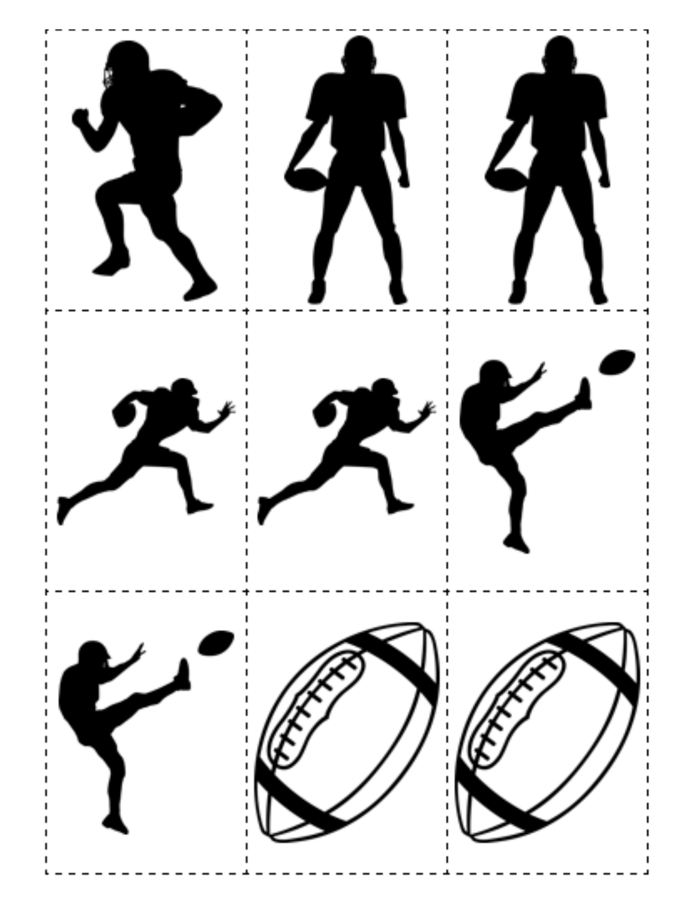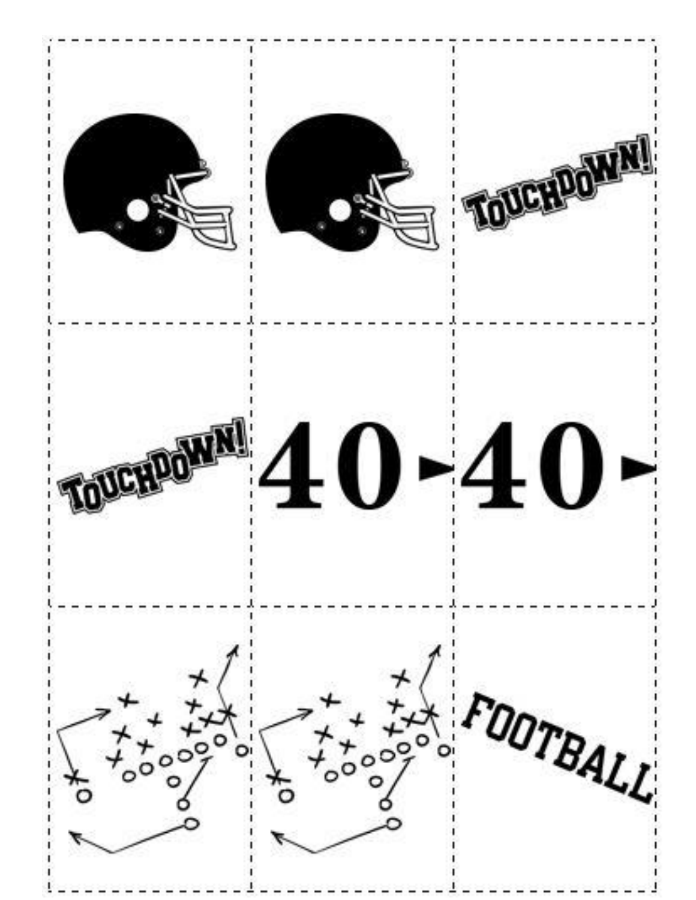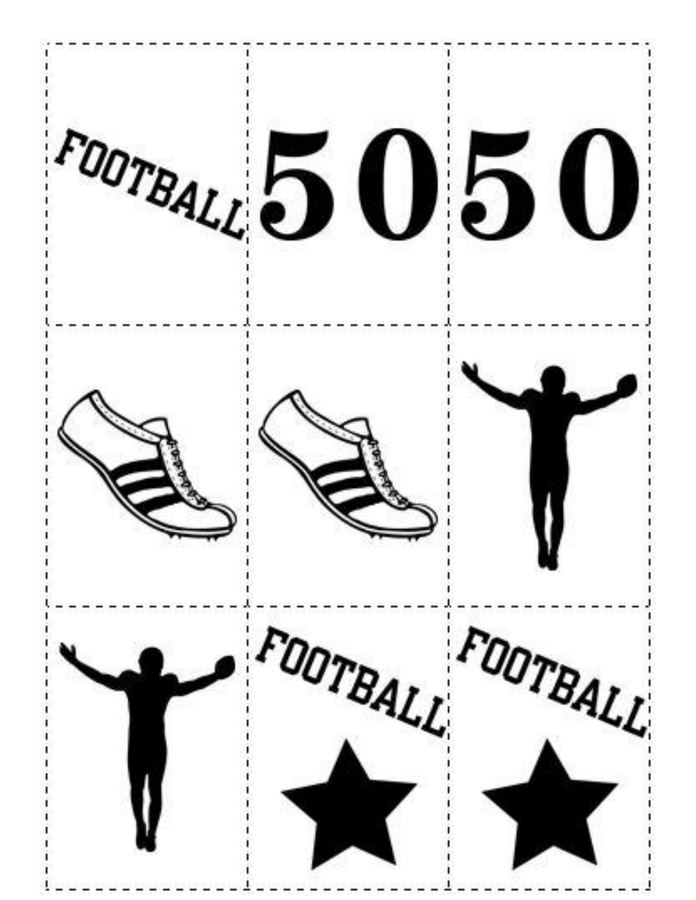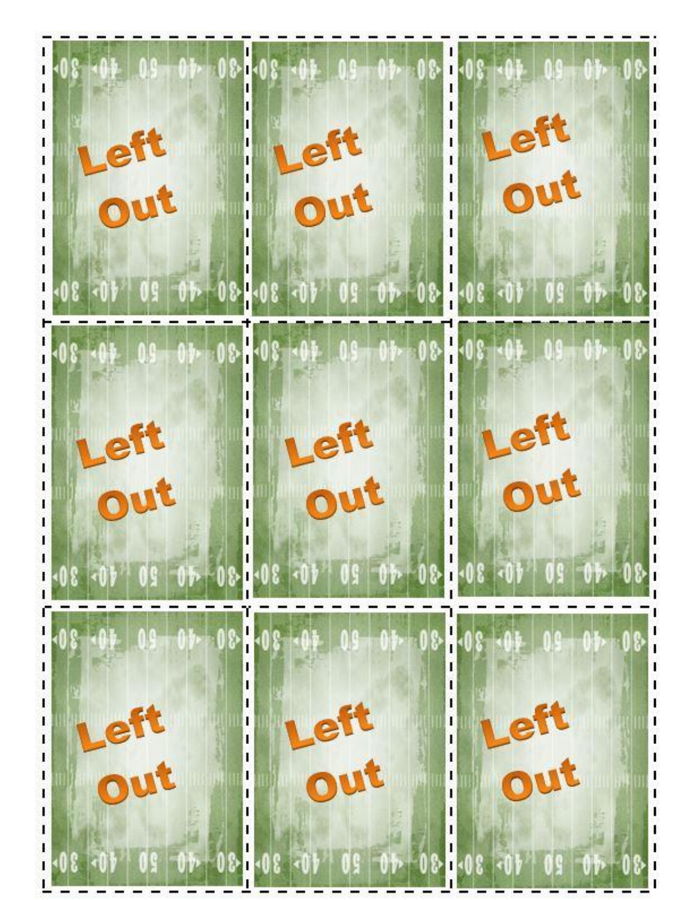